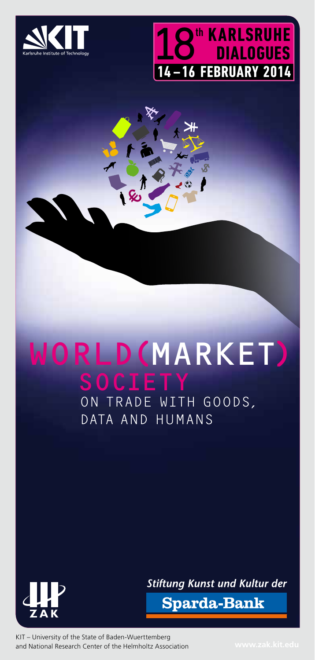

**freundschaft gruppe**

**communities** 



## RLD(MARKET) On Trade with Goods, Data and Humans



**Stiftung Kunst und Kultur der** 

**Sparda-Bank** 

KIT – University of the State of Baden-Wuerttemberg and National Research Center of the Helmholtz Association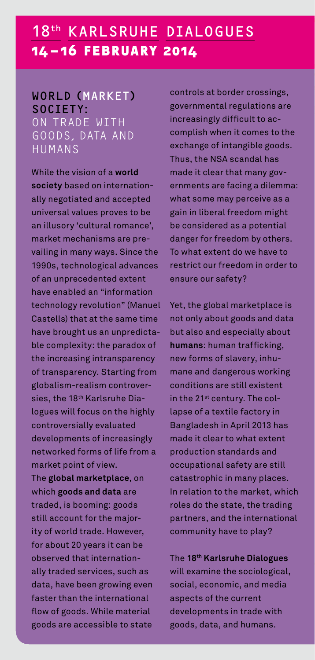# **a**<br>**a**<br>**b**<br>**a** 18<sup>th</sup> KARLSRUHE DIALOGUES<br>14-16 FEBRUARY 2014<br>WORLD (MARKET) controls at border cr<br>SOCIETY: governmental regula<br>ON TRADE WITH increasingly difficult<br>GOODS, DATA AND complish when it complish when it complish when it compl **zusammenließen 14–16 February 2014**

### **14 -**<br> **work**<br> **soc 14-16 FEBRUA<br>WORLD (MARKET)<br>SOCIETY<br>ON TRADE WITH<br>GOODS, DATA AND<br>HUMANS KAF<br>6 F**<br>MM<br>ADE<br>ADE<br>S, DA World (Market) SOCIETY: On Trade with Humans

**demokratie** 

**anhang zusammenleben** 

which **gc**<br>traded, i<br>still acce<br>ity of wo<br>for abou<br>observe<br>ally trad<br>data, ha<br>faster th<br>flow of g sb<br>bun<br>rld<br>t 2 d th<br>ed<br>we l<br>an **bol**<br>t fc<br>tra<br>) yeat<br>ser<br>bee<br>the<br>ds. ' de.<br>ars<br>inte<br>*v*ice<br>inter<br>*N*hi **it can<br>ernation<br>es, suc<br>rowing<br>ernation** e<br> **menscher**<br>
menscher<br>
menscher<br>
menscher isterligte isterligte begrevende begrenne begrenne om der isterligte begrenne begrenne begrenne beginnte isterligte begrenne beginnte begrenne beginnte isterligte beginnte beginn **zugehörichkeit soziologie zusammenließen** er al<br> **burger**<br> **burger**<br> **burger** ill a<br> *r* of<br>
r al<br>
selly t<br>
lta,<br>
ste<br>
w od:<br>
lod: raded<br>
have **l**<br>
r than<br>
of good<br>
s are a demokratical<br>demokratical<br>demokratical<br>demokratical<br>demokratical<br>demokratical **k**<br>**int**<br>Sippose<br>Sippose **zugehörich**<br>**zugehörichs**<br>**zugehörichs**<br>**zugehörichs**<br>**different**<br>**le**<br>**material**<br>**ble** to state<br>**ble** to state While the vision of a **world society** based on internationally negotiated and accepted universal values proves to be an illusory 'cultural romance', market mechanisms are prevailing in many ways. Since the 1990s, technological advances of an unprecedented extent have enabled an "information technology revolution" (Manuel Castells) that at the same time have brought us an unpredictable complexity: the paradox of the increasing intransparency of transparency. Starting from globalism-realism controversies, the 18<sup>th</sup> Karlsruhe Dialogues will focus on the highly controversially evaluated developments of increasingly networked forms of life from a market point of view. The **global marketplace**, on which **goods and data** are traded, is booming: goods still account for the majority of world trade. However, for about 20 years it can be observed that internationally traded services, such as data, have been growing even faster than the international flow of goods. While material goods are accessible to state

**com**<br>**example**<br>**friends**<br>**com if**<br>trols a<br>easing<br>plish **nation**<br> **n**<br> **n**<br> **n**<br> **n**<br>
<br> **n**<br>
<br> **n**<br>
<br> **n berschicht**<br>Drd<br>Biff<br>Binti **nation**<br>**n**<br>icu<br>icu<br>icu **kollectives**<br> **kollectives**<br> **k** to ac<br> **kollective community**<br> **community**<br> **community**<br> **community**<br> **community mittelklasse society b**<br>ros<br>atio **community**<br> **communicipality**<br> **communicipality** controls at border crossings, governmental regulations are increasingly difficult to accomplish when it comes to the exchange of intangible goods. Thus, the NSA scandal has made it clear that many governments are facing a dilemma: what some may perceive as a gain in liberal freedom might be considered as a potential danger for freedom by others. To what extent do we have to restrict our freedom in order to ensure our safety?

**freundschaft society** 

Yet, the global marketplace is not only about goods and data but also and especially about **humans**: human trafficking, new forms of slavery, inhumane and dangerous working conditions are still existent in the 21<sup>st</sup> century. The collapse of a textile factory in Bangladesh in April 2013 has made it clear to what extent production standards and occupational safety are still catastrophic in many places. In relation to the market, which roles do the state, the trading partners, and the international community have to play?

lexa<br>i<mark>al,</mark><br>elor rs, and<br>**hifty h<br>Marl**<br>mine<br>econds of the<br>pment **the manufacture**<br>**d** the ir<br>ave to<br>**sruhe l**<br>the so<br>mic, a<br>e currects nten<br>**pla<br>Dial<br>ciol<br>nd**<br>ant ly?<br>**logues**<br>logical<br>media<br>with **oberschicht** par<br>cor<br>The will<br>soc<br>asp<br>dev<br>goc **allgemeinheit zusammenließen arl**s<br>ine<br>onc<br>f th<br>ta, **and the Socio**<br>**chipanhangither**<br>**and and huma**<br>**and huma national**<br> **n**<br> **n**<br> **n**<br> **n**<br> **n**<br> **n**<br> **n ues**<br>cal<br>dia<br>th **society freundschaft** The **18th Karlsruhe Dialogues** will examine the sociological, social, economic, and media aspects of the current developments in trade with goods, data, and humans.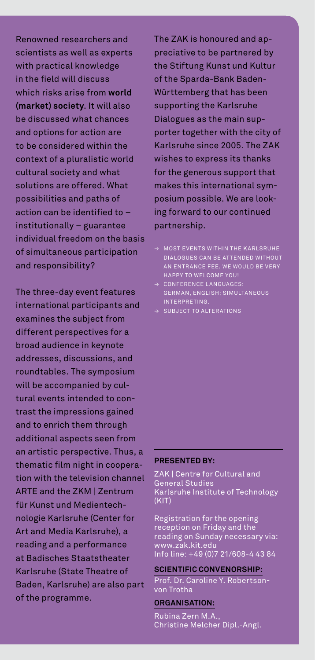scientists as well as expert<br>with practical knowledge<br>in the field will discuss<br>which risks arise from wo<br>(market) society. It will a<br>be discussed what chance<br>and options for action are **ist:<br>rac<br>fiel<br>ris<br>et)<br>cus<br>ptio menschenrechte allgemeinheit fil as end**<br>**freunds**<br>**graphs**<br>**graphs**<br>**graphs**<br>**graphs**<br>**f**<br>**graphs**<br>**graphs zusammenließen soziologie zugehörichkeit** Re<br>sci<br>wit<br>in t<br>wh<br>(m; **nov**<br> **c**h p<br>
the<br>
ich<br> **ark**<br> **dis k** *k* and **dese**<br>**k** as we<br>**propertifield** will<br>**propertified**<br>**collect** arc<br>ell a<br>hov<br>disc<br>e fr<br>**y**. It<br>hat **zusammenligenische**<br>**zuss**<br>**zuss**<br>**zusammeries**<br>**alles**<br>**constribin**<br>**dithin** ti **nd**<br>**rits**<br>**nd**<br>so<br>es<br>, 18th Karlsruhe Dialogues Renowned researchers and scientists as well as experts with practical knowledge in the field will discuss which risks arise from **world (market) society**. It will also be discussed what chances and options for action are to be considered within the context of a pluralistic world cultural society and what solutions are offered. What possibilities and paths of action can be identified to – institutionally – guarantee individual freedom on the basis of simultaneous participation and responsibility?

> **community**<br> **community**<br> **community**<br> **community**<br> **community**<br> **community** Art and Media Karlsruhe), a<br>reading and a performance<br>at Badisches Staatstheater<br>Karlsruhe (State Theatre of<br>Baden, Karlsruhe) are also p<br>of the programme. **nation**<br>Inded<br>Inded<br>Inded<br>Bedded<br>Partionalisater **ia |**<br>a p<br>s S<sup>:</sup><br>tat<br>sru<br>amı **ne**<br>Karl<br>erf<br>taa<br>e T<br>he)<br>me. **(Cente<br>sruhe)<br>orman<br>tsthea<br>heatre<br>are als municipality friendship communities ng**<br>disc<br>ruh<br>pre<br>pre  $\mathsf{arlsru}$ <br>pgrami **herformance**<br>**heatsheater**<br>**he**) are also p<br>**me.**<br>**heats** r<br>art<br>I The three-day event features international participants and examines the subject from different perspectives for a broad audience in keynote addresses, discussions, and roundtables. The symposium will be accompanied by cultural events intended to contrast the impressions gained and to enrich them through additional aspects seen from an artistic perspective. Thus, a thematic film night in cooperation with the television channel ARTE and the ZKM | Zentrum für Kunst und Medientechnologie Karlsruhe (Center for reading and a performance at Badisches Staatstheater Karlsruhe (State Theatre of Baden, Karlsruhe) are also part of the programme.

reche<br>fth<br>fth<br>vür<br>uplial<br>ort<br>(arl<br>uish **kiative<br>Stiftur<br>le Spal<br>ttemb<br>porting** demokratie **demokratique A**<br>demokratique **demokratique a**<br>demokratique and the analytique and the analytique and a<br>demokratique analytique and the analytique and the analytique and allocative and allocative and allocative **ve** p<br>-Ba<br>-Ba<br>thae K<br>er v<br>se 2 **nart**<br>it unk<br>tharls<br>ith<br>ith<br>?00 **mered by<br>
md Kultur<br>
Baden-<br>
as been<br>
struck in sup-<br>
for the ZA<br>
struck shanks**<br>
and that **zusammenleben anhang z**<br>**zuspeciative**<br>**the Stiftur**<br>of the Spa<br>**Württemb**<br>supporting<br>Dialogues<br>porter tog **k**<br>**kult**<br>kulture<br>bured a nol<br>be p<br>lun<br>- Ba<br>tha<br>e K **ved and**<br>**vartner**<br>**st und**<br>**nk Bac** d a<br>red<br>Kul<br>bee<br>ne<br>ne ci<br>he p-<br>by<br>tur<br>n The ZAK is honoured and appreciative to be partnered by the Stiftung Kunst und Kultur of the Sparda-Bank Baden-Württemberg that has been supporting the Karlsruhe Dialogues as the main supporter together with the city of Karlsruhe since 2005. The ZAK wishes to express its thanks for the generous support that makes this international symposium possible. We are looking forward to our continued partnership.

- $\rightarrow$  MOST EVENTS WITHIN THE KARLSRUHE Dialogues can be attended without an entrance fee. We would be very happy to welcome you!
- → Conference languages: German, English; simultaneous interpreting.
- $\rightarrow$  SUBJECT TO ALTERATIONS

#### **Presented by:**

ZAK | Centre for Cultural and General Studies Karlsruhe Institute of Technology  $(K|T)$ 

n-<br>
For Registration for the opening<br>
reception on Friday and the<br>
reading on Sunday necessary via:<br>
ce www.zak.kit.edu<br>
Info line: +49 (0)7 21/608-4 43 84<br>
of SCIENTIFIC CONVENORSHIP:<br>
For Dr. Caroline Y. Robertson-<br>
von r the o<sub>l</sub><br>iday ar<br>day ne<br>du<br>))7 21/6<br>NVENC<br>me Y. Ro<br>A.,<br>A., reception on Friday and the reading on Sunday necessary via: www.zak.kit.edu Info line: +49 (0)7 21/608-4 43 84

#### **Scientific Convenorship:**

Prof. Dr. Caroline Y. Robertsonvon Trotha

#### **Organisation:**

Rubina Zern M.A., Christine Melcher Dipl.-Angl.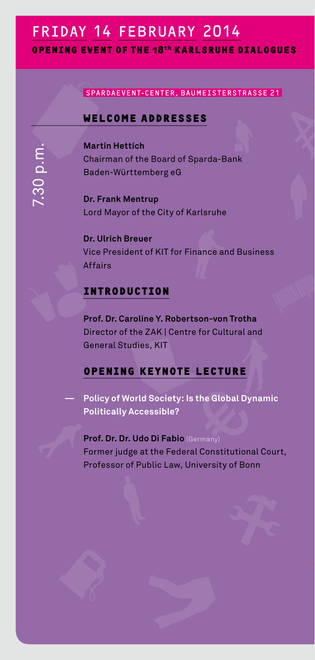#### **v**<br> **v cohabit human beings communities s**<br>R **e**<br> **g**<br> **g**<br> **g**<br> **g ERIDAY 14 FEBRUARY 2014**<br> **EXPENING EVENT OF THE 18<sup>th</sup> KARLSRUHE I<br>
SPARDAEVENT-CENTER, BAUMEISTERST<br>
WELCOME ADDRESSES mehrheit gemeinschaften zusammen**<br>Tel<br>Dr **c**<br>**c**ie di<br> **national**<br>aliss **communicipality**<br>Primultipality<br>Primultipality<br>Primultipality<br>Primultipality<br>Primultipality<br>Primultipality<br>Primultipality<br>Primultipality<br>Primultipality<br>Primultipality<br>Primultipality<br>Primultipality<br>Primultipality<br>Primultip **Opening event of the 18th Karlsruhe Dialogues**

### **krlsi**<br>Aumei<br>Ses **nationalities obers**<br>ERS<br>Chick **bi**<br>Tri<br>L ALOG<br>|<br>|<br>| SpardaEvent-Center, BaumeisterstraSSe 21

**freundschaft society** 

# **event of 1<br>
SPARDAEVE<br>
WELCOMI**<br>
Martin Hett **che 18<sup>th</sup> K***I***<br>NT-CENTER, B<br><mark>E ADDRES</mark> Welcome addresses**

**demokratie** 

**anhang zusammenleben** 

**gruppe bürger menschen** 

**Martin Hettich** Chairman of the Board of Sparda-Bank Baden-Württemberg eG

**Dr. Frank Mentrup** Lord Mayor of the City of Karlsruhe

**Dr. Ulrich Breuer** Vice President of KIT for Finance and Business Affairs

#### **Introduction**

**Prof. Dr. Caroline Y. Robertson-von Trotha** Director of the ZAK | Centre for Cultural and General Studies, KIT

#### **Opening keynote lecture**

**— Policy of World Society: Is the Global Dynamic Politically Accessible?**

**Prof. Dr. Dr. Udo Di Fabio** (Germany) Former judge at the Federal Constitutional Court, Professor of Public Law, University of Bonn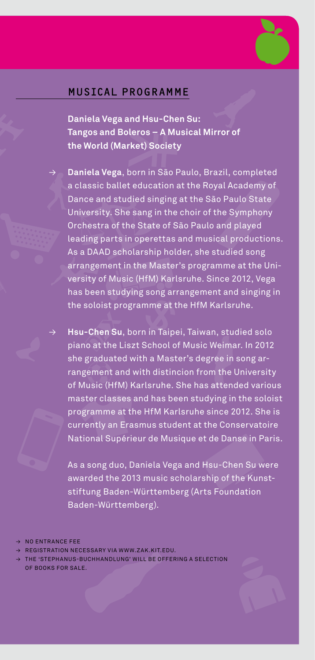

**anhang geselligkeit menschenrechte** 

### **politik** Musical programme **kulturen**<br>Kulturen Su<br>Ken Su **kollektiv gesellige**<br>Anhanga **bi**<br>U.S.<br>nie

**mittelklasse society oberschicht kollektiv geselligkeit öffentlichkeit**

**freundschaft society oberschicht nationalitäten**  **menschenre**<br> **Da**<br> **c**<br> **ba**<br> **ba frauds Chafta Freundschaft**<br>**Freundschaft**<br>**Daniela Vega and Hsu-Chen Su:<br>Tangos and Boleros – A Musical Mirror of<br>the Werld (Market) Sociaty zusammenlight**<br>**zusammenlight**<br>**zusammenlight**<br>**zugehörich**<br>**zugehörich**<br>**zugehörich MAN**<br>
- CI<br>
A M<br>
- Cie<br>
São **demokratie († 18**<br>1<br>1 M **volk**<br>External<br>**irr**o **nationalitäten in**<br>Pro **zusam**<br>**ECAL**<br>la Vega<br>s and l **mehrheit**<br> **mehr**<br> **mediate**<br> **Solen's zusammenleben<br>Frammenleben<br>Sontifik sozion**<br>Sontifik soziologie<br>Republikeit  **Daniela Vega and Hsu-Chen Su: the World (Market) Society**

**kulturen demokratie** 

Daniela Vega, born in São Paulo, Brazil, completed a classic ballet education at the Royal Academy of Dance and studied singing at the São Paulo State University. She sang in the choir of the Symphony Orchestra of the State of São Paulo and played leading parts in operettas and musical productions. As a DAAD scholarship holder, she studied song arrangement in the Master's programme at the University of Music (HfM) Karlsruhe. Since 2012, Vega has been studying song arrangement and singing in the soloist programme at the HfM Karlsruhe.

**Hsu-Chen Su**, born in Taipei, Taiwan, studied solo piano at the Liszt School of Music Weimar. In 2012 she graduated with a Master's degree in song arrangement and with distincion from the University of Music (HfM) Karlsruhe. She has attended various master classes and has been studying in the soloist programme at the HfM Karlsruhe since 2012. She is currently an Erasmus student at the Conservatoire National Supérieur de Musique et de Danse in Paris.

**human beings cohabit** As a song duo, Daniela Vega and Hsu-Chen Su were awarded the 2013 music scholarship of the Kunststiftung Baden-Württemberg (Arts Foundation Baden-Württemberg).

- $\rightarrow$  NO ENTRANCE FEE
- REGISTRATION NECESSARY VIA WWW.ZAK.KIT.EDU.
- **communities gestallight and ENTR.**<br>Registr.<br>The 'STE<br>DF BOOK:<br>DF BOOK: **anci**<br>Atio<br>Phai<br>3 Fo E FEI<br>N NE<br>NUS-<br>R SA E<br>CES:<br>BUC<br>LE. **sary via<br>HHANDLI**<br>A **municipality friendship together citizen human rights** and define a selection  $\alpha$ → NOE<br>→ REGO<br>→ THE<br>OF B STR.<br>'STE<br>00K:<br>! **human rights**<br>Buman rights<br>Buman rights<br>Let aligned by the property of the same of the same of the same of the same of the same of the same of the same of the same of the same of the same of the same of the same of the sa **zusammenließen k.kit.ed**<br>L BE OFF<br> U.<br>ERING A SELE<br>. **gemeinschaften**<br>Exposition THE 'STEPHANUS-BUCHHANDLUNG' WILL BE OFFERING A SELECTION of books for sale.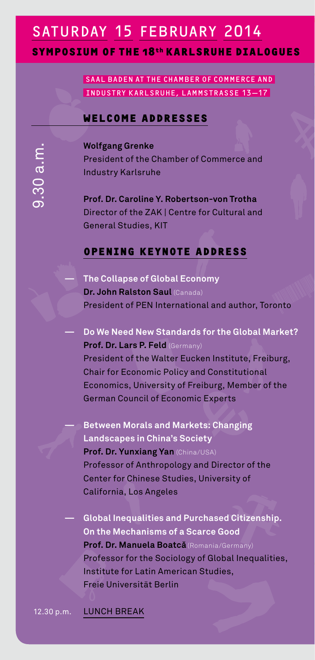### **comability human being a**<br> **human being a communities mittelklasse society especies** SATURDAY 15 FEBRUARY 2014<br>
SYMPOSIUM OF THE 18<sup>th</sup> KARLSRUHE DIAL<br>
SAAL BADEN AT THE CHAMBER OF COMMERCE A<br>
INDUSTRY KARLSRUHE, LAMMSTRASSE 13-1<br>
WELCOME ADDRESSES **mehrheit gemeinschaften**<br> **mehrheit**<br> **mehrheit**<br> **mehreit zusammenlighende**n<br>Externe of **4**<br>**EA**<br>-1 **communicipality**<br> **communicipality**<br> **communicipality**

**SYMPOSIUM OF THE 18<sup>th</sup> KARLSRUHE DIALOGUES**<br>
SAAL BADEN AT THE CHAMBER OF COMMERCE AND<br>
INDUSTRY KARLSRUHE, LAMMSTRASSE 13-17<br>
WELCOME ADDRESSES **NAM OF TH<br>
SAAL BADEN<br>
INDUSTRY K**<br> **WALFGANG GL chall to gether KARLSRUHE DIALOG**<br>At the chamber of commerce and<br>ARLSRUHE, LAMMSTRASSE 13–17<br>E ADDRESSES **freundschaft**<br>Berof<br>SES **uh**<br>Co<br>Ra **berschichte**<br> **oberschicht**<br> **oberschicht**<br> **bi**<br>ERC<br>13 SAAL BADEN AT THE CHAMBER OF COMMERCE AND Industry Karlsruhe, LammstraSSe 13—17

**freundschaft society** 

#### **Welcome addresses**

**demokratie** 

**Wolfgang Grenke** President of the Chamber of Commerce and Industry Karlsruhe

**Prof. Dr. Caroline Y. Robertson-von Trotha** Director of the ZAK | Centre for Cultural and General Studies, KIT

#### **Opening keynote address**

**— The Collapse of Global Economy Dr. John Ralston Saul** (Canada) President of PEN International and author, Toronto

### **— Do We Need New Standards for the Global Market? Prof. Dr. Lars P. Feld** (Germany)

 President of the Walter Eucken Institute, Freiburg, Chair for Economic Policy and Constitutional Economics, University of Freiburg, Member of the German Council of Economic Experts

**— Between Morals and Markets: Changing Landscapes in China's Society Prof. Dr. Yunxiang Yan** (China/USA) Professor of Anthropology and Director of the Center for Chinese Studies, University of California, Los Angeles

**volution** metal metal in the set of the set of the set of the set of the set of the set of the set of the set of the set of the set of the set of the set of the set of the set of the set of the set of the set of the set o **demokratical**<br>**demokratical**<br>belies<br>andemokratical<br>demokratical<br>demokratical<br>demokratical<br>demokratical **Prof. Dr. Manuela Boatcă** (Romania/Gerre<br>Professor for the Sociology of Global<br>Institute for Latin American Studies,<br>Freie Universität Berlin<br>LUNCH BREAK **mension**<br> **mension**<br> **mension**<br> **mension**<br> **mension**<br> **mension**<br> **mension**<br> **mension zugeles<br>ities and<br>isms of a<br>bla Boatcine**<br>Sociologie<br>fine Americ<br>dit Berlin **chase**<br>**arce G**<br>mania/<br>of Glol<br>Studi **d Citiz<br>iood**<br>German<sub>j</sub><br>pallees,<br>es, ren<br><sup>/)</sup><br>| **gese**<br>alities, Pr In Fr. <u>LL</u> eie<br>INC<br>INC **zu Frequatitie<br><b>Dr. Manuela**<br>**ssor for the s**<br>ute for Latin<br>Universität E<br>H BREAK **gemeins**<br>**gemeins**<br>**gemeinschaften mehr der Ameri**<br>**Berlin**<br>**Berlin Purch**<br>**allgement**<br>**allgement**<br>**allgement**<br>can St dia/<br>**Sididi**<br>Andia **bal Inequation**<br> **es, nationalitäten obers**, **— Global Inequalities and Purchased Citizenship. On the Mechanisms of a Scarce Good** Prof. Dr. Manuela Boatcă (Romania/Germany) Professor for the Sociology of Global Inequalities, Freie Universität Berlin

**gemeinschaften**<br>12.30 p.n **b**<br> **b**<br> **b**<br> **b**<br> **b**<br> **d menscher**<br>...<br>... 12.30 p.m. LUNCH BREAK

**anhang zusammenleben**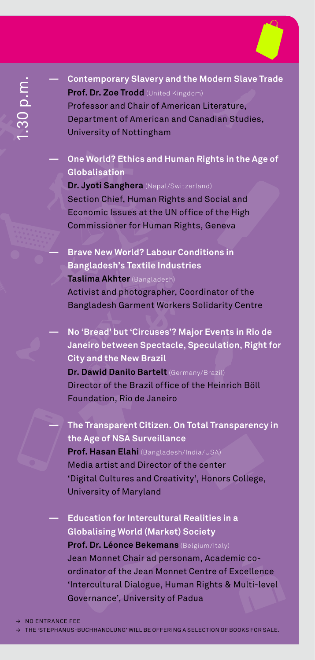

**öffentlichkeit**

**mittelklasse society** 

**menschenrechten**<br> **Propertier**<br> **Denschenrechten**<br> **Conschenrechter**<br> **Conschenrechter**<br> **Conschenrechter ftemporary Slavery and the<br><b>f. Dr. Zoe Trodd** (United Kingdor<br>fessor and Chair of America<br>partment of American and Ca<br>versity of Nottingham **political general contemporary Slavery and the Modern Slave Trade<br>
Prof. Dr. Zoe Trodd (United Kingdom) zy Slaver<br>Trodd** (Un<br>d Chair of<br>Mottingh<br>Ethics an<br>Ethics an **menscher**<br>Expediented<br>Expediented by the controller<br>Expediented by the controller of the controller of the controller of the controller of the controller of the controller of the controller of the controller of the contro **demokratie B**<br> **demokratie B**<br> **demokratie B**<br> **demokratie B vde**<br>ter<br>dia **nationalitäten**<br>atuns **slave Trade<br>Figure 18**<br>Findles,<br>the Age o **zusammenleben**<br>Leopold<br>F **kollektiv gestellige**<br> **a**<br> **a**<br> **a offent**<br> **offent**<br> **offent**<br> **offent zusampora**<br>**br. Zoe**<br>ssor an<br>tment<br>sity of **mehry Sla<br>Trodd**<br>d Chai<br>of Ame<br>Nottin **zusammenleft Society and the**<br> **zusammenles**<br> **polynomials**<br> **zugehörich**<br> **polynomials kulturen**<br>**Kult de**<br>de<br>ter **menschen**<br>ies **Prof. Dr. Zoe Trodd** (United Kingdom) Professor and Chair of American Literature, Department of American and Canadian Studies, University of Nottingham

#### **— One World? Ethics and Human Rights in the Age of Globalisation**

**Dr. Jyoti Sanghera** (Nepal/Switzerland) Section Chief, Human Rights and Social and Economic Issues at the UN office of the High Commissioner for Human Rights, Geneva

**— Brave New World? Labour Conditions in Bangladesh's Textile Industries Taslima Akhter** (Bangladesh) Activist and photographer, Coordinator of the Bangladesh Garment Workers Solidarity Centre

**— No 'Bread' but 'Circuses'? Major Events in Rio de Janeiro between Spectacle, Speculation, Right for City and the New Brazil Dr. Dawid Danilo Bartelt** (Germany/Brazil) Director of the Brazil office of the Heinrich Böll Foundation, Rio de Janeiro

**— The Transparent Citizen. On Total Transparency in the Age of NSA Surveillance Prof. Hasan Elahi** (Bangladesh/India/USA) Media artist and Director of the center 'Digital Cultures and Creativity', Honors College, University of Maryland

**Gle**<br>**Pr**<br>Jes ord<br>In Go **ndea**<br> **pha**<br> **ndinaters**<br> **ters**<br> **ver stion f<br>Ilising<br>Dr. Léo<br>Monne<br>ator of<br>cultura<br>nance world (Mark**<br>**nce Bekema**<br>**t** Chair ad pe<br>**the Jean Mon**<br>**l** Dialogue, H<br>**,** University of **human Realities<br><b>human** (Belgium/Ita<br>**nation**<br>**nation**<br>**nation**<br>**luman Rights**<br>of Padua **in a**<br>ly)<br>demic<br>f Exce<br>& Mul co-<br>Ilence<br>ti-leve<br>**\ demokratie together**<br> **Go**<br> **ANCE FEI**<br>
PHANUS-I **hr. Dr. Leonce**<br>an Monnet Clinator of the<br>tercultural D<br>vernance', U<sub>li</sub><br>E<br>BUCHHANDLUNG<sup>,</sup> **zusammenlighering Bending**<br>**zusammenlighering**<br>Frankrighering<br>Principal<br>Principal **example begins**<br>ad pe<br>an Mo<br>gue, Hersity<br>example being before **rat Reatu<br>et) Societ<br>ns** (Belgium<br>nnet Cent<br>nnea Rig<br>f Padua<br>nnea select **ges in a**<br>**y**<br>//taly)<br>caden<br>**re of E**<br>hts & l **alic co-**<br>**xcellei<br>Multi-l**<br>poks For **andelige menschenrechte**<br> **andelige**<br> **geselligenrechte** andeligence and an<br> **generally — Education for Intercultural Realities in a Globalising World (Market) Society Prof. Dr. Léonce Bekemans** (Belgium/Italy) Jean Monnet Chair ad personam, Academic coordinator of the Jean Monnet Centre of Excellence 'Intercultural Dialogue, Human Rights & Multi-level Governance', University of Padua → Contemporary Stavery and the Modern Stave Trad<br>
Professor and Charles (Assecsor)<br>
Professor and Charles (Assecsor)<br>
University of Nottingham<br>
→ One World? Ethics and Human Rights in the Age of<br>
clubalisation<br>
Dr. Jyoti

→ No entrance fee

**municipality friendship communities nationality**<br> **nation**<br> **national**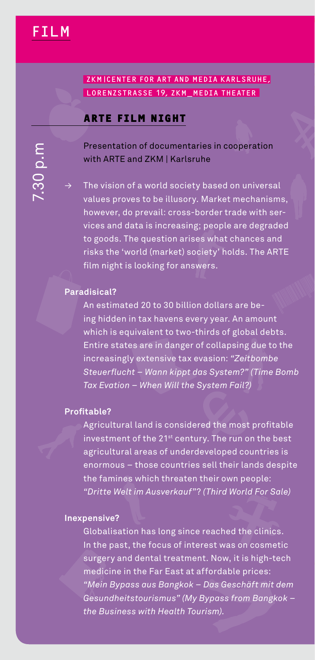**cohabit human beings** 

**demokratie volk gemeinde**

7.30 p.m

#### **zKMICENTE**<br>**LORENZSTR<br>ARTE FII**<br>Presentatio **citizen together friendship municipality freundschaft**<br> **freundschaft**<br> **freundschaft nationality**<br> **nationality**<br> **nationality**<br> **n oberschicht**<br>The **nationalitäten interview**<br> **hatter**<br>
per **kollective**<br>R<br>Kollective **mehrheit gemeinschaften**<br> **mehrheit gemeinschaften**<br> **mehrheit gemeinschaften zusammenlebenden († 1888)**<br>Filmanne soziologie<br>Politik soziologie<br>Politik soziologie e di politik soziologie<br>Politik soziologie **compared Being &**<br> **human being**<br>
<u>human</u> **zusammenlig<br>Example**<br>Example **nationality**<br> **universality**<br> **university FILM**<br>
ZKMICENTER FOR ART AND MEDIA KARLSRUHE, **nationality**<br> **n**<br> **n**<br> **n communities friendship municipality** LORENZSTRASSE 19, ZKM\_MEDIA THEATER

**communities mittelklasse society** 

**freundschaft society** 

#### **ARTE film night**

 Presentation of documentaries in cooperation with ARTE and ZKM | Karlsruhe

The vision of a world society based on universal values proves to be illusory. Market mechanisms, however, do prevail: cross-border trade with services and data is increasing; people are degraded to goods. The question arises what chances and risks the 'world (market) society' holds. The ARTE film night is looking for answers.

#### **Paradisical?**

An estimated 20 to 30 billion dollars are being hidden in tax havens every year. An amount which is equivalent to two-thirds of global debts. Entire states are in danger of collapsing due to the increasingly extensive tax evasion: *"Zeitbombe Steuerflucht – Wann kippt das System?" (Time Bomb Tax Evation – When Will the System Fail?)*

#### **Profitable?**

Agricultural land is considered the most profitable investment of the 21<sup>st</sup> century. The run on the best agricultural areas of underdeveloped countries is enormous – those countries sell their lands despite the famines which threaten their own people: *"Dritte Welt im Ausverkauf"*? *(Third World For Sale)*

# **nex Inexpensive?**

**anhang zusammenleben** 

**gruppe bürger menschen** 

**vpe** Gl In sum "A Ge th **dbat**<br>the<br>rge<br>edi<br>su:<br>e B **gemeindentify and Source Sigemein Constraint Constraint (Best)**<br> **politicity** and dental treatment. Now, it is high-tect<br>
ring and dental treatment. Now, it is high-tect<br>
ring in the Far East at affordable prices:<br> **polyo** im<br>
un the<br>
the<br>
ss c<br>
sto<br>
s w Ausverka<br>**as long s<br>isocus of<br>ith Fassinger**<br>**socions**<br>*somgk*<br>ith Health **greach**<br>**rest v**<br>**it. No**<br>**frous**<br>*Bypas***<br>***Bypas* **d**<br>**World**<br>**allame**<br>**we** it is<br>able p<br><br>**Geschi**<br>**s** from **of**<br>**i** cose<br>higentlickey<br>if the Bo **dem**<br> **definition**<br> **definition** leir<br>:su<br>e B<br> **zugehörich has**<br>**z** past, the foly and denta<br>cine in the Fa<br>*z Bypass aus*<br>*dheitstouris*<br>*usiness with* **long s<br>cus of<br>il treat<br>***Bangk***<br>mus"<br>Health ince re**<br>intere<br>ment.<br>at affi<br>ok – D<br>(My By<br>i Touris **stv**<br>No<br>ord<br>as l<br>pas<br>im) **a** it is hight<br>able price<br>Feschäft<br>is from Bo rnic<br>sme<br>!s:<br>mit<br>ingi<br>ingi ecl<br>*del*<br>kok Globalisation has long since reached the clinics. In the past, the focus of interest was on cosmetic surgery and dental treatment. Now, it is high-tech medicine in the Far East at affordable prices: *"Mein Bypass aus Bangkok – Das Geschäft mit dem Gesundheitstourismus" (My Bypass from Bangkok – the Business with Health Tourism).*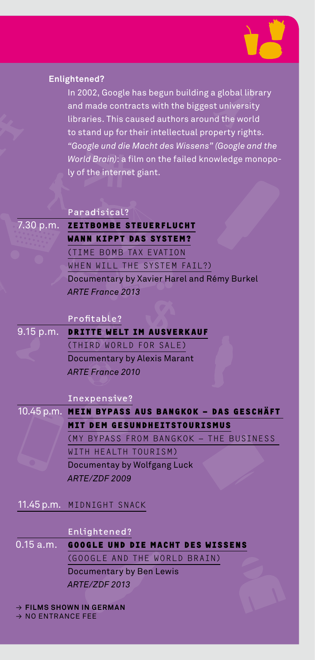

**anhang geselligkeit menschenrechte** 

| <b>Enlightened?</b> |  |
|---------------------|--|
| In 2002, G          |  |
| and made            |  |
| libraries.          |  |
| to stand u          |  |
| "Google u           |  |

**mittelklasse society oberschicht kollektiv geselligkeit**

**freundschaft society oberschicht nationalitäten**  **mlight**<br>
In 2<br>
and<br>
lib to 3<br>
"Go Wo<br>
ly r **freundschaft**<br> **hafta**<br> **hafta**<br> **hafta**<br> **hafta**<br> **political und dia Maght dee Wieca<br>
<b>portal und dia Maght dee Wieca**<br> **portal und dia Maght dee Wieca z**<br>**zusamment**<br>**s** caused<br>or their in<br>die Macht<br>a film on<br>rnet giant **menscheft**<br> **menschenrefte**<br> **c**<br> **c**<br> **c**<br> **c**<br> **c**<br> **c** demokratie <mark>ing</mark><br>ing<br>prokratie in proken<br>prokratie in proken in the process of the set of the set of the set of the set of the set of the set of the set o<br>process of the set of the set of the set of the set of the set of t **b**<br>a g<br>st u<br>ppe<br>" (G **national**<br> **n**<br> **n**<br> **nde**<br> **nde x**<br>**h**<br>al library<br>ersity<br>world<br>rights.<br>le monopo **zusammenleben anhang offer**<br> **offer**<br> **offer**<br> **offer**<br> **offer**<br> **of d?**<br>2, Goo<sub>;</sub><br>ade co<br>es. Thi<br>le und le gle has<br>ntract<br>s caus<br>or thei **z**<br>begun build<br>s with the biged<br>authors an<br>r intellectual demokratie <mark>de</mark><br>demokratie <mark>a</mark><br>stu **menscher A**<br>bra<br>ind<br>and In 2002, Google has begun building a global library and made contracts with the biggest university libraries. This caused authors around the world to stand up for their intellectual property rights. *"Google und die Macht des Wissens" (Google and the World Brain)*: a film on the failed knowledge monopoly of the internet giant.

**kulturen** 

| Paradisical? |  |
|--------------|--|
|              |  |
|              |  |

7.30 p.m. **Zeitbombe Steuerflucht Wann kippt das System?** (Time Bomb Tax Evation When Will the System Fail?) Documentary by Xavier Harel and Rémy Burkel *ARTE France 2013*

#### Profitable?

9.15 p.m. **Dritte Welt im Ausverkauf** (Third World for Sale) Documentary by Alexis Marant *ARTE France 2010*

#### Inexpensive?

10.45 p.m. **Mein Bypass aus Bangkok – Das Geschäft mit dem Gesundheitstourismus** (My Bypass from Bangkok – The Business with Health Tourism) Documentay by Wolfgang Luck

*ARTE/ZDF 2009*

#### 11.45 p.m. Midnight Snack

#### Enlightened?

 $\frac{1}{\sqrt{2}}$ **0.15 a.m.** n.<br>|<br>shc En<br> **GO**<br>
GO<br>
Do<br>
AR<br>
WN **lig<br>06**<br>00<br>cur<br>TE/<br>IN **SOCIETY FRIENDS FRIENDS REUND DIE MACHT DES WISSENS<br>
SLE AND THE WORLD BRAIN<br>
mentary by Ben Lewis<br>
ZDF 2013<br>
GERMAN<br>
CORMAN municipality**<br> **community**<br> **community**<br> **community**<br> **community nationalities**<br>MS :<br>ENT **together citizen human rights dependent rights rights** *nd***</del><br><b>***http:***<br><b>in German**<br>**in German**<br>FEE **zusammenligen**<br>TH<br>AB **human being and Die Macht des Wissens**<br>
<del>Google und die Macht des Wissens</del><br>
Documentary by Ben Lewis<br>
ARTE/ZDF 2013<br>
→ FILMS SHOWN IN GERMAN<br>
→ NO ENTRANCE FEE **ht des little benefits in the political political state**<br>*i*s<br>**political** political political political political political political political political political political political political political political politic **gemeinschaften**<br>
<u>(a)</u><br> **gemeinschaften allgemeinheit**<br> **of**<br> **of**<br> **of**<br> **of**<br> **of**<br> **of**<br> **of**<br> **of**<br> **of**<br> **of**<br> **of**<br> **of**  (GOOGLE AND THE WORLD BRAIN) Documentary by Ben Lewis *ARTE/ZDF 2013*

#### → **Films shown in German**

**NO ENTRANCE FEE**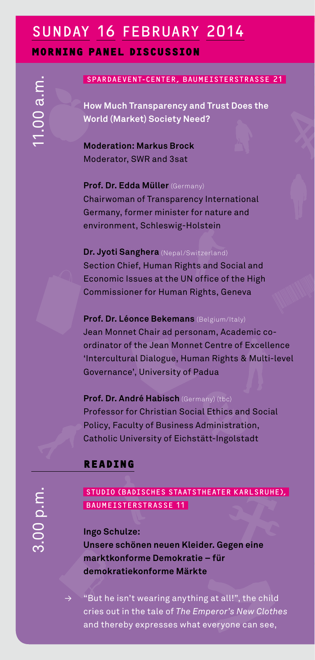## **cohabit human beings**  SUNDAY 16 FEBRUARY 2014<br>
MORNING PANEL DISCUSSION<br>
SPARDAEVENT-CENTER, BAUMEISTERSTR<br>
GO How Much Transparency and Trust Does<br>
World (Market) Society Need?<br>
T **MAY**<br> **MC**<br> **MC**<br>
HC<br>
WO **LU**<br>**us**<br>are<br>cie **Morning panel discussion**

**demokratie** 

# **communities c**<br>**c**<br>e SPARDAEVENT-CENTER, BAUMEISTERSTRASSE 21

**mittelklasse society** 

**freundschaft society** 

**nationalist PANEL**<br>**How Much T**<br>World (Mark<br>Moderation **citizen**<br>**nt-center, BAUMEISTERSTRASSE 2**<br>Fransparency and Trust Does the<br>let) Society Need? **on<br>BAUME:<br>Cand Tyded?**<br>Record **nation**<br>IST<br>irus **obers**<br> **o**<br> **o**<br> **o nationalitäten alutaten konstruksion**<br> **nationalitäten konstruksion nation**<br>ASS<br>ith  **How Much Transparency and Trust Does the World (Market) Society Need?**

**Moderation: Markus Brock** Moderator, SWR and 3sat

**Prof. Dr. Edda Müller** (Germany) Chairwoman of Transparency International Germany, former minister for nature and environment, Schleswig-Holstein

#### **Dr. Jyoti Sanghera** (Nepal/Switzerland)

Section Chief, Human Rights and Social and Economic Issues at the UN office of the High Commissioner for Human Rights, Geneva

#### **Prof. Dr. Léonce Bekemans** (Belgium/Italy)

Jean Monnet Chair ad personam, Academic coordinator of the Jean Monnet Centre of Excellence 'Intercultural Dialogue, Human Rights & Multi-level Governance', University of Padua

#### **Prof. Dr. André Habisch** (Germany) (tbc)

 Professor for Christian Social Ethics and Social Policy, Faculty of Business Administration, Catholic University of Eichstätt-Ingolstadt

#### **Reading**

**anhang zusammenleben** 

**gruppe bürger menschen** 

#### STUDIO (Badisches Staatstheater Karlsruhe), BAUMEISTERSTRASSE 11

**volvent mediately for the controller go :<br>nse<br>ark<br>:ut<br>ies re schönen neuen Klei<br>tkonforme Demokrati<br>kratiekonforme Märk<br>he isn't wearing anythi<br>out in the tale of** *The E* **menschenrechter**<br> **menscher**<br> **menscher**<br> **menscher**<br> **menscher**<br> **menscher**<br> **menscher**<br> **menscher zugehörich:**<br>**zusammenlige**<br>**zusammenlige**<br>**zusammenlige**<br>**zusammenlige**<br>**zusammenligerish:**<br><br>**zusammenligerish: der. G<br>e – fü**<br>**te**<br>ng at a<br>mperc ER KAR<br>**egen c<br>all!", th<br>all!", th öffentliche**<br>Bine<br>it component **zehöhen n<br>tkonforme D<br>tkonforme D<br>kratiekonfo<br>he isn't wear<br>out in the tal<br>hereby expre geuen**<br>**irme M**<br>ing an<br>ie of *TI*<br>sses v **kleide<br>ratie –<br>ärkte**<br>ything<br>ne Emp<br>what ev **fü**<br>**fü**<br>at a<br>erc<br>rery **Ingo Schulze: Unsere schönen neuen Kleider. Gegen eine marktkonforme Demokratie – für demokratiekonforme Märkte**

**gese**<br>bild<br>*lothes* **de**<br>**demokratie** <br>**demokratie** *k*<br>iut<br>id t **r**<br>all!", the c<br>*r's New C*<br>yone can : **n**<br>hill<br>see<br>see d<br>nes<br>,  $\rightarrow$  "But he isn't wearing anything at all!", the child cries out in the tale of *The Emperor's New Clothes* and thereby expresses what everyone can see,